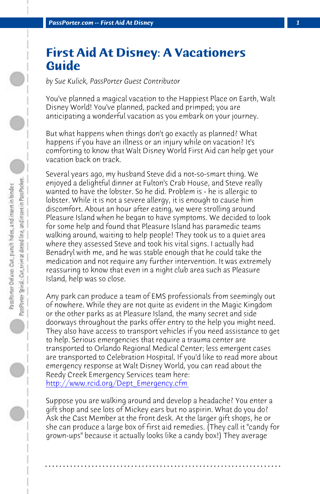**PassPorter.com -- First Aid At Disney** 

## **First Aid At Disney: A Vacationers Guide**

*by Sue Kulick, PassPorter Guest Contributor*

You've planned a magical vacation to the Happiest Place on Earth, Walt Disney World! You've planned, packed and primped; you are anticipating a wonderful vacation as you embark on your journey.

But what happens when things don't go exactly as planned? What happens if you have an illness or an injury while on vacation? It's comforting to know that Walt Disney World First Aid can help get your vacation back on track.

Several years ago, my husband Steve did a not-so-smart thing. We enjoyed a delightful dinner at Fulton's Crab House, and Steve really wanted to have the lobster. So he did. Problem is - he is allergic to lobster. While it is not a severe allergy, it is enough to cause him discomfort. About an hour after eating, we were strolling around Pleasure Island when he began to have symptoms. We decided to look for some help and found that Pleasure Island has paramedic teams [walking around, waiting to help people! They](http://www.rcid.org/Dept_Emergency.cfm) took us to a quiet area where they assessed Steve and took his vital signs. I actually had Benadryl with me, and he was stable enough that he could take the medication and not require any further intervention. It was extremely reassuring to know that even in a night club area such as Pleasure Island, help was so close.

Any park can produce a team of EMS professionals from seemingly out of nowhere. While they are not quite as evident in the Magic Kingdom or the other parks as at Pleasure Island, the many secret and side doorways throughout the parks offer entry to the help you might need. They also have access to transport vehicles if you need assistance to get to help. Serious emergencies that require a trauma center are transported to Orlando Regional Medical Center; less emergent cases are transported to Celebration Hospital. If you'd like to read more about emergency response at Walt Disney World, you can read about the Reedy Creek Emergency Services team here: http://www.rcid.org/Dept\_Emergency.cfm

Suppose you are walking around and develop a headache? You enter a gift shop and see lots of Mickey ears but no aspirin. What do you do? Ask the Cast Member at the front desk. At the larger gift shops, he or she can produce a large box of first aid remedies. (They call it "candy for grown-ups" because it actually looks like a candy box!) They average

**. . . . . . . . . . . . . . . . . . . . . . . . . . . . . . . . . . . . . . . . . . . . . . . . . . . . . . . . . . . . . . . . . .**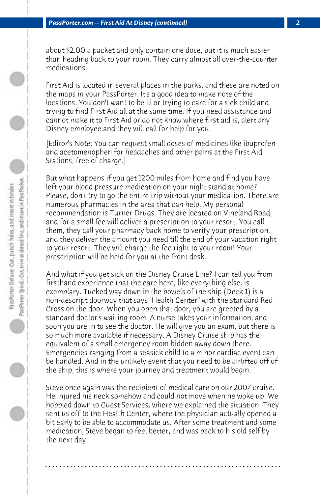about \$2.00 a packet and only contain one dose, but it is much easier than heading back to your room. They carry almost all over-the-counter medications.

First Aid is located in several places in the parks, and these are noted on the maps in your PassPorter. It's a good idea to make note of the locations. You don't want to be ill or trying to care for a sick child and trying to find First Aid all at the same time. If you need assistance and cannot make it to First Aid or do not know where first aid is, alert any Disney employee and they will call for help for you.

[Editor's Note: You can request small doses of medicines like ibuprofen and acetomenophen for headaches and other pains at the First Aid Stations, free of charge.]

But what happens if you get 1200 miles from home and find you have left your blood pressure medication on your night stand at home? Please, don't try to go the entire trip without your medication. There are numerous pharmacies in the area that can help. My personal recommendation is Turner Drugs. They are located on Vineland Road, and for a small fee will deliver a prescription to your resort. You call them, they call your pharmacy back home to verify your prescription, and they deliver the amount you need till the end of your vacation right to your resort. They will charge the fee right to your room! Your prescription will be held for you at the front desk.

And what if you get sick on the Disney Cruise Line? I can tell you from firsthand experience that the care here, like everything else, is exemplary. Tucked way down in the bowels of the ship (Deck 1) is a non-descript doorway that says "Health Center" with the standard Red Cross on the door. When you open that door, you are greeted by a standard doctor's waiting room. A nurse takes your information, and soon you are in to see the doctor. He will give you an exam, but there is so much more available if necessary. A Disney Cruise ship has the equivalent of a small emergency room hidden away down there. Emergencies ranging from a seasick child to a minor cardiac event can be handled. And in the unlikely event that you need to be airlifted off of the ship, this is where your journey and treatment would begin.

Steve once again was the recipient of medical care on our 2007 cruise. He injured his neck somehow and could not move when he woke up. We hobbled down to Guest Services, where we explained the situation. They sent us off to the Health Center, where the physician actually opened a bit early to be able to accommodate us. After some treatment and some medication, Steve began to feel better, and was back to his old self by the next day.

**. . . . . . . . . . . . . . . . . . . . . . . . . . . . . . . . . . . . . . . . . . . . . . . . . . . . . . . . . . . . . . . . . .**